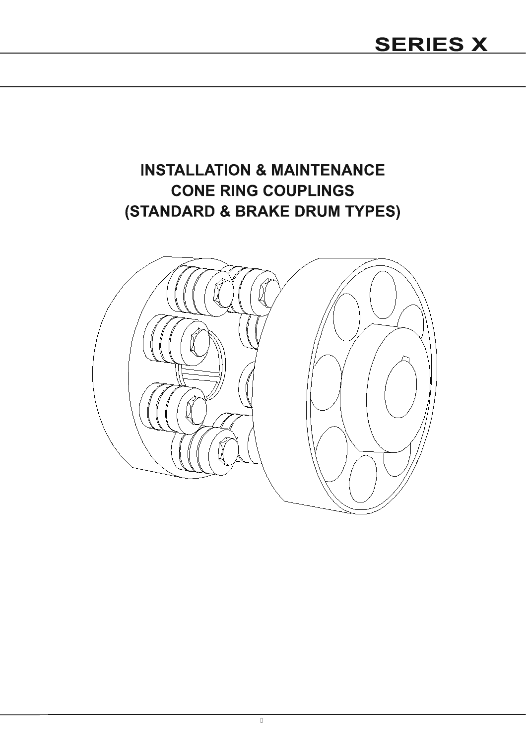# **INSTALLATION & MAINTENANCE CONE RING COUPLINGS** (STANDARD & BRAKE DRUM TYPES)

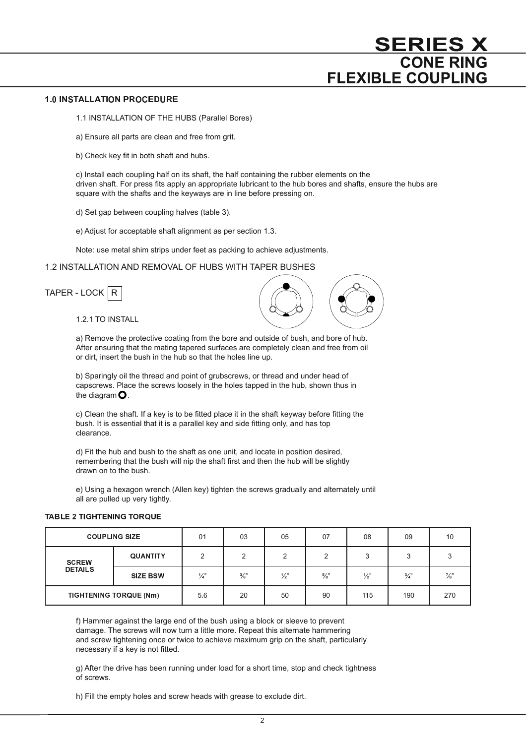#### -

1.1 INSTALLATION OF THE HUBS (Parallel Bores)

a) Ensure all parts are clean and free from grit.

b) Check key fit in both shaft and hubs.

 c) Install each coupling half on its shaft, the half containing the rubber elements on the driven shaft. For press fits apply an appropriate lubricant to the hub bores and shafts, ensure the hubs are square with the shafts and the keyways are in line before pressing on.

d) Set gap between coupling halves (table 3).

e) Adjust for acceptable shaft alignment as per section 1.3.

Note: use metal shim strips under feet as packing to achieve adjustments.

# 1.2 INSTALLATION AND REMOVAL OF HUBS WITH TAPER BUSHES

| TAPER - LOCK $ R $ |  |
|--------------------|--|
|--------------------|--|

1.2.1 TO INSTALL



 b) Sparingly oil the thread and point of grubscrews, or thread and under head of capscrews. Place the screws loosely in the holes tapped in the hub, shown thus in the diagram $\mathbf O$ .

c) Clean the shaft. If a key is to be fitted place it in the shaft keyway before fitting the bush. It is essential that it is a parallel key and side fitting only, and has top clearance.

d) Fit the hub and bush to the shaft as one unit, and locate in position desired, remembering that the bush will nip the shaft first and then the hub will be slightly drawn on to the bush.

 e) Using a hexagon wrench (Allen key) tighten the screws gradually and alternately until all are pulled up very tightly.

### **TABLE 2 TIGHTENING TORQUE**

| <b>COUPLING SIZE</b>           |                 | 01            | 03              | 05            | 07              | 08            | 09            | 10              |
|--------------------------------|-----------------|---------------|-----------------|---------------|-----------------|---------------|---------------|-----------------|
| <b>SCREW</b><br><b>DETAILS</b> | <b>QUANTITY</b> | ◠             | C               | ົ             |                 | ર             | 3             |                 |
|                                | <b>SIZE BSW</b> | $\frac{1}{4}$ | $\frac{3}{8}$ " | $\frac{1}{2}$ | $\frac{5}{8}$ " | $\frac{1}{2}$ | $\frac{3}{4}$ | $\frac{7}{8}$ " |
| TIGHTENING TORQUE (Nm)         |                 | 5.6           | 20              | 50            | 90              | 115           | 190           | 270             |

f) Hammer against the large end of the bush using a block or sleeve to prevent damage. The screws will now turn a little more. Repeat this alternate hammering and screw tightening once or twice to achieve maximum grip on the shaft, particularly necessary if a key is not fitted.

 g) After the drive has been running under load for a short time, stop and check tightness of screws.

h) Fill the empty holes and screw heads with grease to exclude dirt.

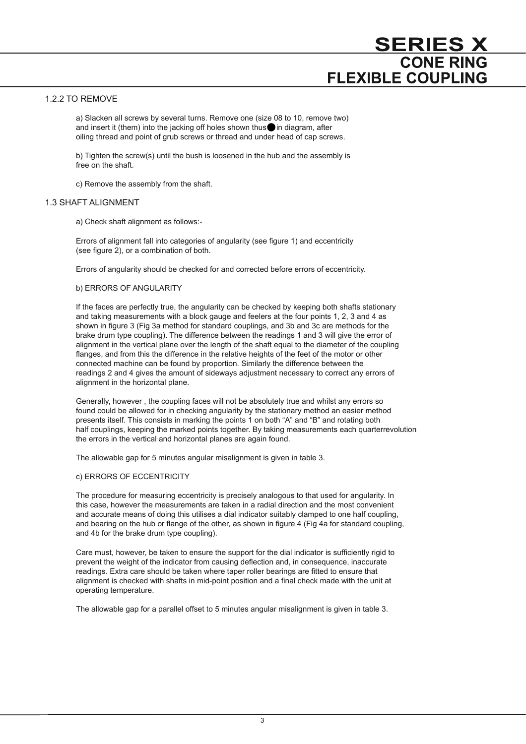### 1.2.2 TO REMOVE

 a) Slacken all screws by several turns. Remove one (size 08 to 10, remove two) and insert it (them) into the jacking off holes shown thus  $\bullet$  in diagram, after oiling thread and point of grub screws or thread and under head of cap screws.

 b) Tighten the screw(s) until the bush is loosened in the hub and the assembly is free on the shaft.

c) Remove the assembly from the shaft.

### 1.3 SHAFT ALIGNMENT

a) Check shaft alignment as follows:-

Errors of alignment fall into categories of angularity (see figure 1) and eccentricity (see figure 2), or a combination of both.

Errors of angularity should be checked for and corrected before errors of eccentricity.

### b) ERRORS OF ANGULARITY

 If the faces are perfectly true, the angularity can be checked by keeping both shafts stationary and taking measurements with a block gauge and feelers at the four points 1, 2, 3 and 4 as shown in figure 3 (Fig 3a method for standard couplings, and 3b and 3c are methods for the brake drum type coupling). The difference between the readings 1 and 3 will give the error of alignment in the vertical plane over the length of the shaft equal to the diameter of the coupling flanges, and from this the difference in the relative heights of the feet of the motor or other connected machine can be found by proportion. Similarly the difference between the readings 2 and 4 gives the amount of sideways adjustment necessary to correct any errors of alignment in the horizontal plane.

 Generally, however , the coupling faces will not be absolutely true and whilst any errors so found could be allowed for in checking angularity by the stationary method an easier method presents itself. This consists in marking the points 1 on both "A" and "B" and rotating both half couplings, keeping the marked points together. By taking measurements each quarterrevolution the errors in the vertical and horizontal planes are again found.

The allowable gap for 5 minutes angular misalignment is given in table 3.

### c) ERRORS OF ECCENTRICITY

 The procedure for measuring eccentricity is precisely analogous to that used for angularity. In this case, however the measurements are taken in a radial direction and the most convenient and accurate means of doing this utilises a dial indicator suitably clamped to one half coupling, and bearing on the hub or flange of the other, as shown in figure 4 (Fig 4a for standard coupling, and 4b for the brake drum type coupling).

Care must, however, be taken to ensure the support for the dial indicator is sufficiently rigid to prevent the weight of the indicator from causing deßection and, in consequence, inaccurate readings. Extra care should be taken where taper roller bearings are fitted to ensure that alignment is checked with shafts in mid-point position and a final check made with the unit at operating temperature.

The allowable gap for a parallel offset to 5 minutes angular misalignment is given in table 3.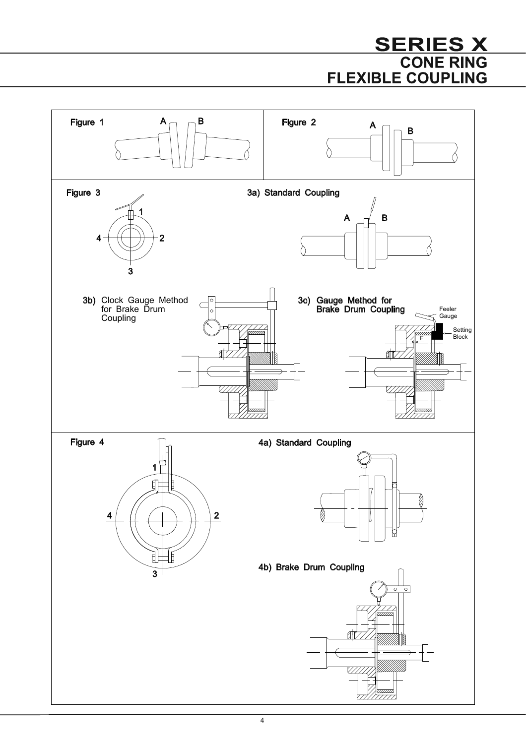# **SERIES X CONE RING FLEXIBLE COUPLING**

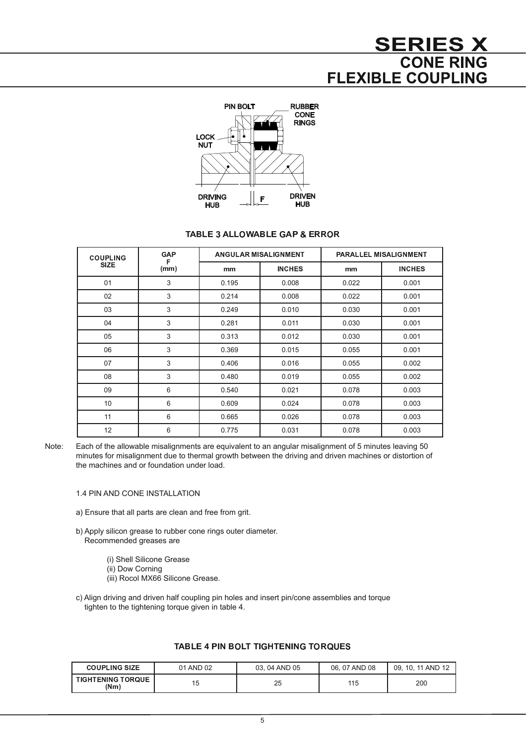# **SERIES X CONE RING FLEXIBLE COUPLING**



## <sup>7</sup> <sup>8</sup> <sup>9</sup> <sup>7</sup> : ;

| <b>COUPLING</b><br><b>SIZE</b> | <b>GAP</b><br>F |       | ANGULAR MISALIGNMENT | <b>PARALLEL MISALIGNMENT</b> |               |  |  |
|--------------------------------|-----------------|-------|----------------------|------------------------------|---------------|--|--|
|                                | (mm)            | mm    | <b>INCHES</b>        | mm                           | <b>INCHES</b> |  |  |
| 01                             | 3               | 0.195 | 0.008                | 0.022                        | 0.001         |  |  |
| 02                             | 3               | 0.214 | 0.008                | 0.022                        | 0.001         |  |  |
| 03                             | 3               | 0.249 | 0.010                | 0.030                        | 0.001         |  |  |
| 04                             | 3               | 0.281 | 0.011                | 0.030                        | 0.001         |  |  |
| 05                             | 3               | 0.313 | 0.012                | 0.030                        | 0.001         |  |  |
| 06                             | 3               | 0.369 | 0.015                | 0.055                        | 0.001         |  |  |
| 07                             | 3               | 0.406 | 0.016                | 0.055                        | 0.002         |  |  |
| 08                             | 3               | 0.480 | 0.019                | 0.055                        | 0.002         |  |  |
| 09                             | 6               | 0.540 | 0.021                | 0.078                        | 0.003         |  |  |
| 10                             | 6               | 0.609 | 0.024                | 0.078                        | 0.003         |  |  |
| 11                             | 6               | 0.665 | 0.026                | 0.078                        | 0.003         |  |  |
| 12                             | 6               | 0.775 | 0.031                | 0.078                        | 0.003         |  |  |

Note: Each of the allowable misalignments are equivalent to an angular misalignment of 5 minutes leaving 50 minutes for misalignment due to thermal growth between the driving and driven machines or distortion of the machines and or foundation under load.

- 1.4 PIN AND CONE INSTALLATION
- a) Ensure that all parts are clean and free from grit.
- b) Apply silicon grease to rubber cone rings outer diameter. Recommended greases are
	- (i) Shell Silicone Grease
	- (ii) Dow Corning
	- (iii) Rocol MX66 Silicone Grease.
- c) Align driving and driven half coupling pin holes and insert pin/cone assemblies and torque tighten to the tightening torque given in table 4.

| <b>COUPLING SIZE</b>               | 01 AND 02 | 03.04 AND 05 | 06.07 AND 08 | 09. 10. 11 AND 12 |
|------------------------------------|-----------|--------------|--------------|-------------------|
| <b>TIGHTENING TORQUE  </b><br>(Nm) | 'ხ        | 25           | 115          | 200               |

### <sup>7</sup> <sup>&</sup>lt; <sup>7</sup> : <sup>=</sup> : <sup>&</sup>gt;